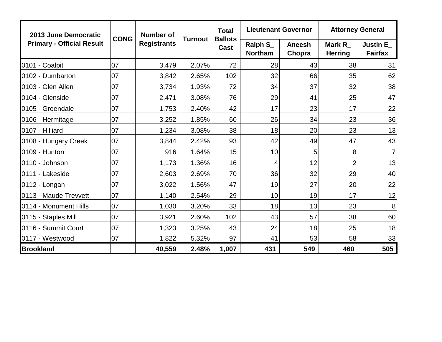| 2013 June Democratic             |             | <b>Number of</b>   |                | <b>Total</b>           | <b>Lieutenant Governor</b> |                         | <b>Attorney General</b>         |                                   |
|----------------------------------|-------------|--------------------|----------------|------------------------|----------------------------|-------------------------|---------------------------------|-----------------------------------|
| <b>Primary - Official Result</b> | <b>CONG</b> | <b>Registrants</b> | <b>Turnout</b> | <b>Ballots</b><br>Cast | Ralph S_<br><b>Northam</b> | <b>Aneesh</b><br>Chopra | <b>Mark R</b><br><b>Herring</b> | <b>Justin E</b><br><b>Fairfax</b> |
| 0101 - Coalpit                   | 07          | 3,479              | 2.07%          | 72                     | 28                         | 43                      | 38                              | 31                                |
| 0102 - Dumbarton                 | 07          | 3,842              | 2.65%          | 102                    | 32                         | 66                      | 35                              | 62                                |
| 0103 - Glen Allen                | 07          | 3,734              | 1.93%          | 72                     | 34                         | 37                      | 32                              | 38                                |
| 0104 - Glenside                  | 07          | 2,471              | 3.08%          | 76                     | 29                         | 41                      | 25                              | 47                                |
| 0105 - Greendale                 | 07          | 1,753              | 2.40%          | 42                     | 17                         | 23                      | 17                              | 22                                |
| 0106 - Hermitage                 | 07          | 3,252              | 1.85%          | 60                     | 26                         | 34                      | 23                              | 36                                |
| 0107 - Hilliard                  | 07          | 1,234              | 3.08%          | 38                     | 18                         | 20                      | 23                              | 13                                |
| 0108 - Hungary Creek             | 07          | 3,844              | 2.42%          | 93                     | 42                         | 49                      | 47                              | 43                                |
| 0109 - Hunton                    | 07          | 916                | 1.64%          | 15                     | 10                         | 5                       | 8 <sup>°</sup>                  | $\overline{7}$                    |
| 0110 - Johnson                   | 07          | 1,173              | 1.36%          | 16                     | 4                          | 12                      | $\overline{2}$                  | 13                                |
| 0111 - Lakeside                  | 07          | 2,603              | 2.69%          | 70                     | 36                         | 32                      | 29                              | 40                                |
| 0112 - Longan                    | 07          | 3,022              | 1.56%          | 47                     | 19                         | 27                      | 20                              | 22                                |
| 0113 - Maude Trevvett            | 07          | 1,140              | 2.54%          | 29                     | 10                         | 19                      | 17                              | 12                                |
| 0114 - Monument Hills            | 07          | 1,030              | 3.20%          | 33                     | 18                         | 13                      | 23                              | 8                                 |
| 0115 - Staples Mill              | 07          | 3,921              | 2.60%          | 102                    | 43                         | 57                      | 38                              | 60                                |
| 0116 - Summit Court              | 07          | 1,323              | 3.25%          | 43                     | 24                         | 18                      | 25                              | 18                                |
| 0117 - Westwood                  | 07          | 1,822              | 5.32%          | 97                     | 41                         | 53                      | 58                              | 33                                |
| <b>Brookland</b>                 |             | 40,559             | 2.48%          | 1,007                  | 431                        | 549                     | 460                             | 505                               |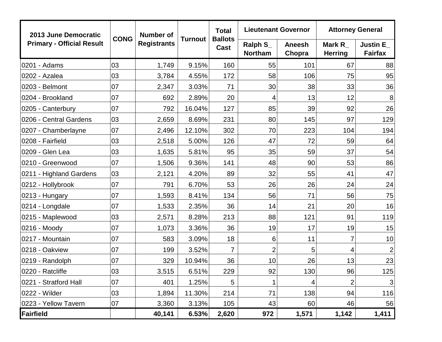| 2013 June Democratic             |             | <b>Number of</b>   |                | <b>Total</b>           | <b>Lieutenant Governor</b>      |                         | <b>Attorney General</b>         |                                   |  |
|----------------------------------|-------------|--------------------|----------------|------------------------|---------------------------------|-------------------------|---------------------------------|-----------------------------------|--|
| <b>Primary - Official Result</b> | <b>CONG</b> | <b>Registrants</b> | <b>Turnout</b> | <b>Ballots</b><br>Cast | Ralph $S_{-}$<br><b>Northam</b> | <b>Aneesh</b><br>Chopra | <b>Mark R</b><br><b>Herring</b> | <b>Justin E</b><br><b>Fairfax</b> |  |
| 0201 - Adams                     | 03          | 1,749              | 9.15%          | 160                    | 55                              | 101                     | 67                              | 88                                |  |
| 0202 - Azalea                    | 03          | 3,784              | 4.55%          | 172                    | 58                              | 106                     | 75                              | 95                                |  |
| 0203 - Belmont                   | 07          | 2,347              | 3.03%          | 71                     | 30                              | 38                      | 33                              | 36                                |  |
| 0204 - Brookland                 | 07          | 692                | 2.89%          | 20                     | 4                               | 13                      | 12                              | 8                                 |  |
| 0205 - Canterbury                | 07          | 792                | 16.04%         | 127                    | 85                              | 39                      | 92                              | 26                                |  |
| 0206 - Central Gardens           | 03          | 2,659              | 8.69%          | 231                    | 80                              | 145                     | 97                              | 129                               |  |
| 0207 - Chamberlayne              | 07          | 2,496              | 12.10%         | 302                    | 70                              | 223                     | 104                             | 194                               |  |
| 0208 - Fairfield                 | 03          | 2,518              | 5.00%          | 126                    | 47                              | 72                      | 59                              | 64                                |  |
| 0209 - Glen Lea                  | 03          | 1,635              | 5.81%          | 95                     | 35                              | 59                      | 37                              | 54                                |  |
| 0210 - Greenwood                 | 07          | 1,506              | 9.36%          | 141                    | 48                              | 90                      | 53                              | 86                                |  |
| 0211 - Highland Gardens          | 03          | 2,121              | 4.20%          | 89                     | 32                              | 55                      | 41                              | 47                                |  |
| 0212 - Hollybrook                | 07          | 791                | 6.70%          | 53                     | 26                              | 26                      | 24                              | 24                                |  |
| 0213 - Hungary                   | 07          | 1,593              | 8.41%          | 134                    | 56                              | 71                      | 56                              | 75                                |  |
| 0214 - Longdale                  | 07          | 1,533              | 2.35%          | 36                     | 14                              | 21                      | 20                              | 16                                |  |
| 0215 - Maplewood                 | 03          | 2,571              | 8.28%          | 213                    | 88                              | 121                     | 91                              | 119                               |  |
| 0216 - Moody                     | 07          | 1,073              | 3.36%          | 36                     | 19                              | 17                      | 19                              | 15                                |  |
| 0217 - Mountain                  | 07          | 583                | 3.09%          | 18                     | 6                               | 11                      | 7                               | 10                                |  |
| 0218 - Oakview                   | 07          | 199                | 3.52%          | $\overline{7}$         | $\overline{2}$                  | 5                       | 4                               | $\overline{2}$                    |  |
| 0219 - Randolph                  | 07          | 329                | 10.94%         | 36                     | 10                              | 26                      | 13                              | 23                                |  |
| 0220 - Ratcliffe                 | 03          | 3,515              | 6.51%          | 229                    | 92                              | 130                     | 96                              | 125                               |  |
| 0221 - Stratford Hall            | 07          | 401                | 1.25%          | 5                      | 1                               | 4                       | 2                               | $\mathbf{3}$                      |  |
| 0222 - Wilder                    | 03          | 1,894              | 11.30%         | 214                    | 71                              | 138                     | 94                              | 116                               |  |
| 0223 - Yellow Tavern             | 07          | 3,360              | 3.13%          | 105                    | 43                              | 60                      | 46                              | 56                                |  |
| Fairfield                        |             | 40,141             | 6.53%          | 2,620                  | 972                             | 1,571                   | 1,142                           | 1,411                             |  |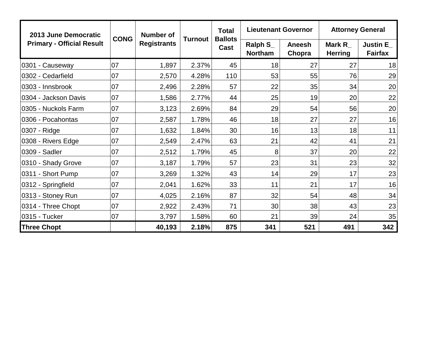| 2013 June Democratic             |             | Number of<br><b>Registrants</b> |         | <b>Total</b><br><b>Ballots</b><br>Cast | <b>Lieutenant Governor</b>      |                  | <b>Attorney General</b>        |                                   |  |
|----------------------------------|-------------|---------------------------------|---------|----------------------------------------|---------------------------------|------------------|--------------------------------|-----------------------------------|--|
| <b>Primary - Official Result</b> | <b>CONG</b> |                                 | Turnout |                                        | Ralph $S_{-}$<br><b>Northam</b> | Aneesh<br>Chopra | Mark $R_{-}$<br><b>Herring</b> | <b>Justin E</b><br><b>Fairfax</b> |  |
| 0301 - Causeway                  | 07          | 1,897                           | 2.37%   | 45                                     | 18                              | 27               | 27                             | 18                                |  |
| 0302 - Cedarfield                | 07          | 2,570                           | 4.28%   | 110                                    | 53                              | 55               | 76                             | 29                                |  |
| 0303 - Innsbrook                 | 07          | 2,496                           | 2.28%   | 57                                     | 22                              | 35               | 34                             | 20                                |  |
| 0304 - Jackson Davis             | 07          | 1,586                           | 2.77%   | 44                                     | 25                              | 19               | 20                             | 22                                |  |
| 0305 - Nuckols Farm              | 07          | 3,123                           | 2.69%   | 84                                     | 29                              | 54               | 56                             | 20                                |  |
| 0306 - Pocahontas                | 07          | 2,587                           | 1.78%   | 46                                     | 18                              | 27               | 27                             | 16                                |  |
| 0307 - Ridge                     | 07          | 1,632                           | 1.84%   | 30                                     | 16                              | 13               | 18                             | 11                                |  |
| 0308 - Rivers Edge               | 07          | 2,549                           | 2.47%   | 63                                     | 21                              | 42               | 41                             | 21                                |  |
| 0309 - Sadler                    | 07          | 2,512                           | 1.79%   | 45                                     | 8                               | 37               | 20                             | 22                                |  |
| 0310 - Shady Grove               | 07          | 3,187                           | 1.79%   | 57                                     | 23                              | 31               | 23                             | 32                                |  |
| 0311 - Short Pump                | 07          | 3,269                           | 1.32%   | 43                                     | 14                              | 29               | 17                             | 23                                |  |
| 0312 - Springfield               | 07          | 2,041                           | 1.62%   | 33                                     | 11                              | 21               | 17                             | 16                                |  |
| 0313 - Stoney Run                | 07          | 4,025                           | 2.16%   | 87                                     | 32                              | 54               | 48                             | 34                                |  |
| 0314 - Three Chopt               | 07          | 2,922                           | 2.43%   | 71                                     | 30                              | 38               | 43                             | 23                                |  |
| 0315 - Tucker                    | 07          | 3,797                           | 1.58%   | 60                                     | 21                              | 39               | 24                             | 35                                |  |
| <b>Three Chopt</b>               |             | 40,193                          | 2.18%   | 875                                    | 341                             | 521              | 491                            | 342                               |  |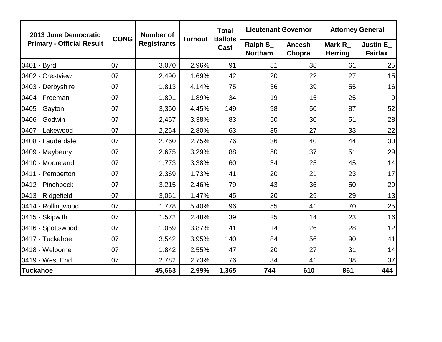| 2013 June Democratic             |             | <b>Number of</b>   |                | <b>Total</b>           | <b>Lieutenant Governor</b> |                         | <b>Attorney General</b>         |                                   |  |
|----------------------------------|-------------|--------------------|----------------|------------------------|----------------------------|-------------------------|---------------------------------|-----------------------------------|--|
| <b>Primary - Official Result</b> | <b>CONG</b> | <b>Registrants</b> | <b>Turnout</b> | <b>Ballots</b><br>Cast | Ralph S_<br><b>Northam</b> | <b>Aneesh</b><br>Chopra | <b>Mark R</b><br><b>Herring</b> | <b>Justin E</b><br><b>Fairfax</b> |  |
| 0401 - Byrd                      | 07          | 3,070              | 2.96%          | 91                     | 51                         | 38                      | 61                              | 25                                |  |
| 0402 - Crestview                 | 07          | 2,490              | 1.69%          | 42                     | 20                         | 22                      | 27                              | 15                                |  |
| 0403 - Derbyshire                | 07          | 1,813              | 4.14%          | 75                     | 36                         | 39                      | 55                              | 16                                |  |
| 0404 - Freeman                   | 07          | 1,801              | 1.89%          | 34                     | 19                         | 15                      | 25                              | 9                                 |  |
| 0405 - Gayton                    | 07          | 3,350              | 4.45%          | 149                    | 98                         | 50                      | 87                              | 52                                |  |
| 0406 - Godwin                    | 07          | 2,457              | 3.38%          | 83                     | 50                         | 30                      | 51                              | 28                                |  |
| 0407 - Lakewood                  | 07          | 2,254              | 2.80%          | 63                     | 35                         | 27                      | 33                              | 22                                |  |
| 0408 - Lauderdale                | 07          | 2,760              | 2.75%          | 76                     | 36                         | 40                      | 44                              | 30                                |  |
| 0409 - Maybeury                  | 07          | 2,675              | 3.29%          | 88                     | 50                         | 37                      | 51                              | 29                                |  |
| 0410 - Mooreland                 | 07          | 1,773              | 3.38%          | 60                     | 34                         | 25                      | 45                              | 14                                |  |
| 0411 - Pemberton                 | 07          | 2,369              | 1.73%          | 41                     | 20                         | 21                      | 23                              | 17                                |  |
| 0412 - Pinchbeck                 | 07          | 3,215              | 2.46%          | 79                     | 43                         | 36                      | 50                              | 29                                |  |
| 0413 - Ridgefield                | 07          | 3,061              | 1.47%          | 45                     | 20                         | 25                      | 29                              | 13                                |  |
| 0414 - Rollingwood               | 07          | 1,778              | 5.40%          | 96                     | 55                         | 41                      | 70                              | 25                                |  |
| 0415 - Skipwith                  | 07          | 1,572              | 2.48%          | 39                     | 25                         | 14                      | 23                              | 16                                |  |
| 0416 - Spottswood                | 07          | 1,059              | 3.87%          | 41                     | 14                         | 26                      | 28                              | 12                                |  |
| 0417 - Tuckahoe                  | 07          | 3,542              | 3.95%          | 140                    | 84                         | 56                      | 90                              | 41                                |  |
| 0418 - Welborne                  | 07          | 1,842              | 2.55%          | 47                     | 20                         | 27                      | 31                              | 14                                |  |
| 0419 - West End                  | 07          | 2,782              | 2.73%          | 76                     | 34                         | 41                      | 38                              | 37                                |  |
| <b>Tuckahoe</b>                  |             | 45,663             | 2.99%          | 1,365                  | 744                        | 610                     | 861                             | 444                               |  |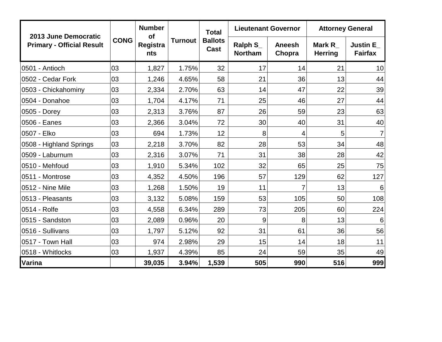|                                                          |             | <b>Number</b>         |                | <b>Total</b><br><b>Ballots</b><br>Cast | <b>Lieutenant Governor</b> |                         | <b>Attorney General</b>         |                                   |  |
|----------------------------------------------------------|-------------|-----------------------|----------------|----------------------------------------|----------------------------|-------------------------|---------------------------------|-----------------------------------|--|
| 2013 June Democratic<br><b>Primary - Official Result</b> | <b>CONG</b> | of<br>Registra<br>nts | <b>Turnout</b> |                                        | Ralph S_<br><b>Northam</b> | <b>Aneesh</b><br>Chopra | <b>Mark R</b><br><b>Herring</b> | <b>Justin E</b><br><b>Fairfax</b> |  |
| 0501 - Antioch                                           | 03          | 1,827                 | 1.75%          | 32                                     | 17                         | 14                      | 21                              | 10                                |  |
| 0502 - Cedar Fork                                        | 03          | 1,246                 | 4.65%          | 58                                     | 21                         | 36                      | 13                              | 44                                |  |
| 0503 - Chickahominy                                      | 03          | 2,334                 | 2.70%          | 63                                     | 14                         | 47                      | 22                              | 39                                |  |
| 0504 - Donahoe                                           | 03          | 1,704                 | 4.17%          | 71                                     | 25                         | 46                      | 27                              | 44                                |  |
| 0505 - Dorey                                             | 03          | 2,313                 | 3.76%          | 87                                     | 26                         | 59                      | 23                              | 63                                |  |
| 0506 - Eanes                                             | 03          | 2,366                 | 3.04%          | 72                                     | 30                         | 40                      | 31                              | 40                                |  |
| 0507 - Elko                                              | 03          | 694                   | 1.73%          | 12                                     | 8                          | 4                       | 5                               | $\overline{7}$                    |  |
| 0508 - Highland Springs                                  | 03          | 2,218                 | 3.70%          | 82                                     | 28                         | 53                      | 34                              | 48                                |  |
| 0509 - Laburnum                                          | 03          | 2,316                 | 3.07%          | 71                                     | 31                         | 38                      | 28                              | 42                                |  |
| 0510 - Mehfoud                                           | 03          | 1,910                 | 5.34%          | 102                                    | 32                         | 65                      | 25                              | 75                                |  |
| 0511 - Montrose                                          | 03          | 4,352                 | 4.50%          | 196                                    | 57                         | 129                     | 62                              | 127                               |  |
| 0512 - Nine Mile                                         | 03          | 1,268                 | 1.50%          | 19                                     | 11                         | 7                       | 13                              | 6                                 |  |
| 0513 - Pleasants                                         | 03          | 3,132                 | 5.08%          | 159                                    | 53                         | 105                     | 50                              | 108                               |  |
| 0514 - Rolfe                                             | 03          | 4,558                 | 6.34%          | 289                                    | 73                         | 205                     | 60                              | 224                               |  |
| 0515 - Sandston                                          | 03          | 2,089                 | 0.96%          | 20                                     | 9                          | 8                       | 13                              | 6                                 |  |
| 0516 - Sullivans                                         | 03          | 1,797                 | 5.12%          | 92                                     | 31                         | 61                      | 36                              | 56                                |  |
| 0517 - Town Hall                                         | 03          | 974                   | 2.98%          | 29                                     | 15                         | 14                      | 18                              | 11                                |  |
| 0518 - Whitlocks                                         | 03          | 1,937                 | 4.39%          | 85                                     | 24                         | 59                      | 35                              | 49                                |  |
| Varina                                                   |             | 39,035                | 3.94%          | 1,539                                  | 505                        | 990                     | 516                             | 999                               |  |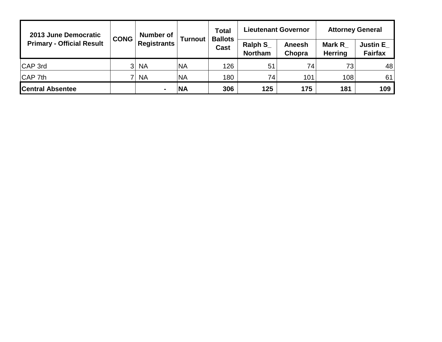| 2013 June Democratic<br><b>Primary - Official Result</b> | <b>CONG</b>    | <b>Number of</b><br><b>Registrants</b> | <b>Turnout</b> | <b>Total</b><br><b>Ballots</b><br>Cast | <b>Lieutenant Governor</b>       |                  | <b>Attorney General</b>         |                                   |  |
|----------------------------------------------------------|----------------|----------------------------------------|----------------|----------------------------------------|----------------------------------|------------------|---------------------------------|-----------------------------------|--|
|                                                          |                |                                        |                |                                        | <b>Ralph S</b><br><b>Northam</b> | Aneesh<br>Chopra | <b>Mark R</b><br><b>Herring</b> | <b>Justin E</b><br><b>Fairfax</b> |  |
| CAP 3rd                                                  | 3 <sup>1</sup> | <b>NA</b>                              | 'NA            | 126                                    | 51                               | 74 <sub>1</sub>  | 73                              | 48                                |  |
| CAP 7th                                                  | 7              | <b>NA</b>                              | <b>NA</b>      | 180                                    | 74                               | 101              | 108                             | 61                                |  |
| <b>Central Absentee</b>                                  |                |                                        | <b>NA</b>      | 306                                    | 125                              | 175              | 181                             | 109                               |  |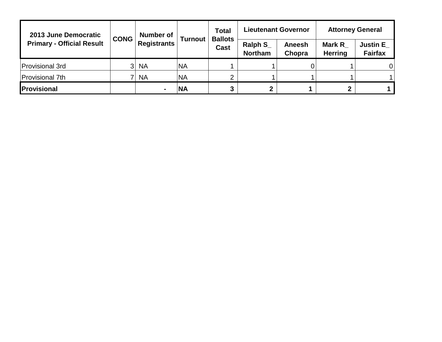| 2013 June Democratic<br><b>Primary - Official Result</b> | <b>CONG</b>    | <b>Number of</b><br><b>Registrants</b> | <b>Turnout</b> | <b>Total</b><br><b>Ballots</b><br>Cast |                                  | <b>Lieutenant Governor</b> | <b>Attorney General</b>         |                                   |  |
|----------------------------------------------------------|----------------|----------------------------------------|----------------|----------------------------------------|----------------------------------|----------------------------|---------------------------------|-----------------------------------|--|
|                                                          |                |                                        |                |                                        | <b>Ralph S</b><br><b>Northam</b> | Aneesh<br>Chopra           | <b>Mark R</b><br><b>Herring</b> | <b>Justin E</b><br><b>Fairfax</b> |  |
| Provisional 3rd                                          | 3 <sup>1</sup> | <b>NA</b>                              | <b>NA</b>      |                                        |                                  | O                          |                                 | 0                                 |  |
| Provisional 7th                                          |                | <b>NA</b>                              | <b>NA</b>      | ⌒                                      |                                  |                            |                                 |                                   |  |
| <b>IProvisional</b>                                      |                |                                        | <b>NA</b>      | 3                                      | $\mathbf 2$                      |                            | $\mathbf{2}$                    |                                   |  |